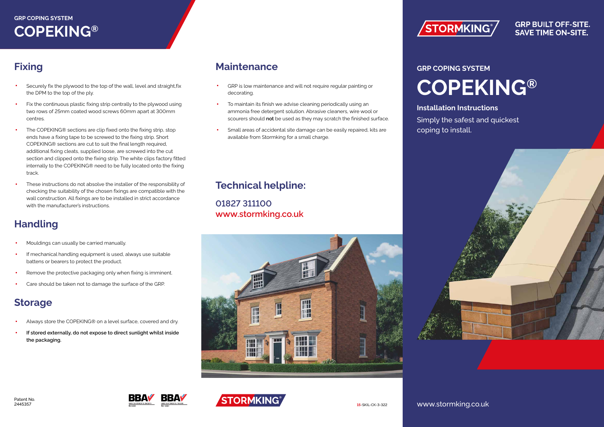# **COPEKING®**

## **Fixing**

- Securely fix the plywood to the top of the wall, level and straight,fix the DPM to the top of the ply.
- Fix the continuous plastic fixing strip centrally to the plywood using two rows of 25mm coated wood screws 60mm apart at 300mm centres.
- The COPEKING® sections are clip fixed onto the fixing strip, stop ends have a fixing tape to be screwed to the fixing strip. Short COPEKING® sections are cut to suit the final length required, additional fixing cleats, supplied loose, are screwed into the cut section and clipped onto the fixing strip. The white clips factory fitted internally to the COPEKING® need to be fully located onto the fixing track.
- These instructions do not absolve the installer of the responsibility of checking the suitability of the chosen fixings are compatible with the wall construction. All fixings are to be installed in strict accordance with the manufacturer's instructions.

## **Handling**

- Mouldings can usually be carried manually.
- If mechanical handling equipment is used, always use suitable battens or bearers to protect the product.
- Remove the protective packaging only when fixing is imminent.
- Care should be taken not to damage the surface of the GRP.

## **Storage**

- Always store the COPEKING® on a level surface, covered and dry.
- **If stored externally, do not expose to direct sunlight whilst inside the packaging.**

### **Maintenance**

- GRP is low maintenance and will not require regular painting or decorating.
- To maintain its finish we advise cleaning periodically using an ammonia free detergent solution. Abrasive cleaners, wire wool or scourers should **not** be used as they may scratch the finished surface.
- Small areas of accidental site damage can be easily repaired, kits are available from Stormking for a small charge.

## **Technical helpline:**

**01827 311100 www.stormking.co.uk**





**GRP BUILT OFF-SITE. SAVE TIME ON-SITE.** 

# **GRP COPING SYSTEM**

# **COPEKING®**

#### **Installation Instructions**

Simply the safest and quickest coping to install.







www.stormking.co.uk